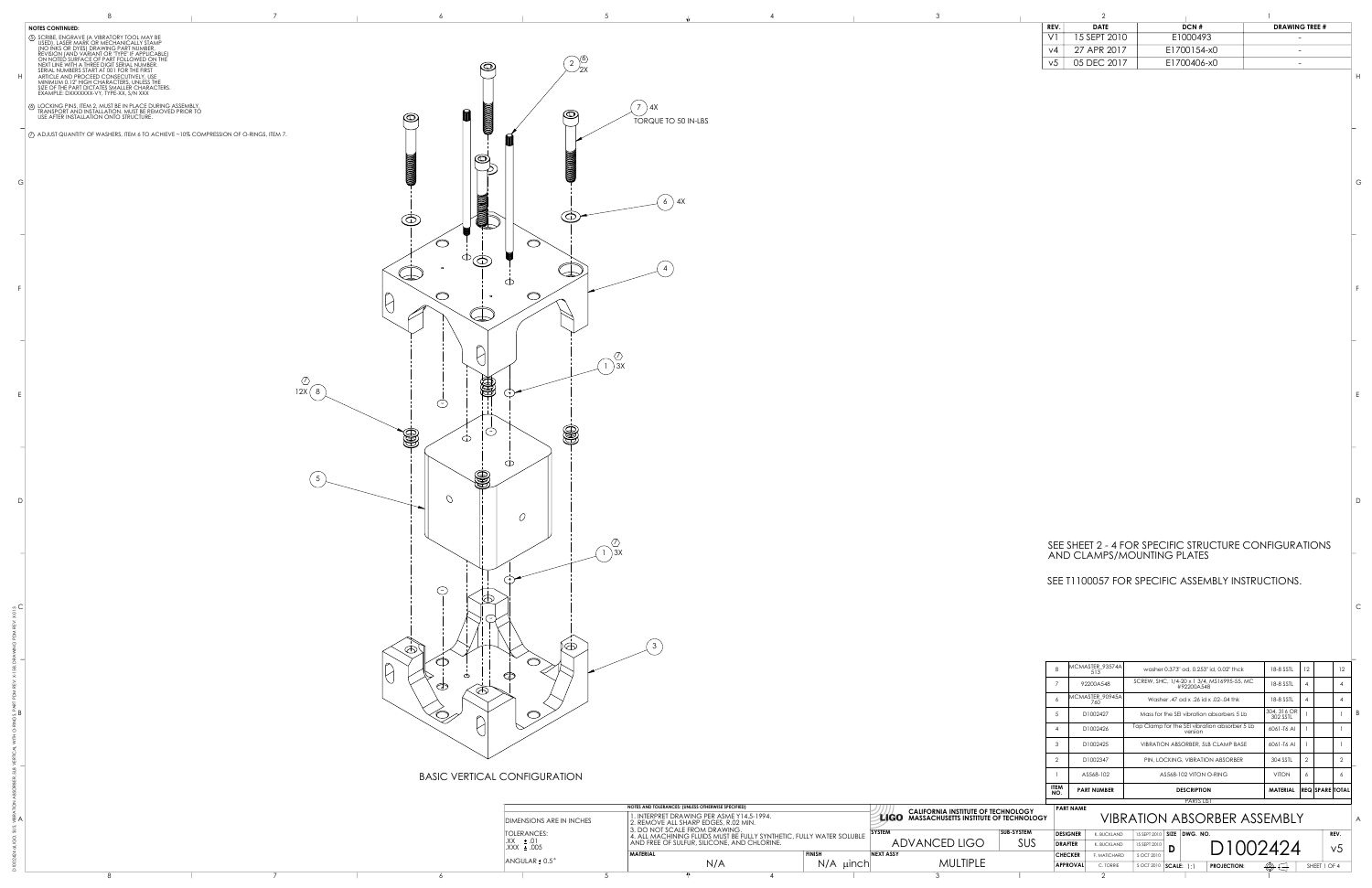### SEE SHEET 2 - 4 FOR SPECIFIC STRUCTURE CONFIGURATIONS AND CLAMPS/MOUNTING PLATES

washer 0.373" od, 0.253" id, 0.02" thck  $\begin{array}{|c|c|c|c|c|c|c|c|c|} \hline 18-8 & 55\text{TL} & 12 & 12 \ \hline \end{array}$ 

|                                     | 6                  |                  | MCMASTER_90945A<br>760                 |                                                  |               |                                               | Washer .47 od x .26 id x .02-.04 thk      | 18-8 SSTL               | 4 |                        | 4              |          |
|-------------------------------------|--------------------|------------------|----------------------------------------|--------------------------------------------------|---------------|-----------------------------------------------|-------------------------------------------|-------------------------|---|------------------------|----------------|----------|
|                                     | 5                  |                  | D1002427                               |                                                  |               |                                               | Mass for the SEI vibration absorbers 5 Lb | 304, 316 OR<br>302 SSTL |   |                        |                | B        |
| $\overline{4}$                      |                    | D1002426         |                                        |                                                  | version       | Top Clamp for the SEI vibration absorber 5 Lb | 6061-T6 Al                                |                         |   |                        |                |          |
|                                     | 3                  |                  | D1002425                               | VIBRATION ABSORBER, 5LB CLAMP BASE<br>6061-T6 AI |               |                                               |                                           |                         |   |                        |                |          |
| 2<br>D1002347                       |                    |                  |                                        |                                                  |               | PIN, LOCKING, VIBRATION ABSORBER              | 304 SSTL                                  | $\overline{2}$          |   | $\overline{2}$         |                |          |
| AS568-102                           |                    |                  | AS568-102 VITON O-RING<br><b>VITON</b> |                                                  |               |                                               | 6                                         |                         | 6 |                        |                |          |
|                                     | <b>ITEM</b><br>NO. |                  | <b>PART NUMBER</b>                     |                                                  |               | <b>DESCRIPTION</b>                            |                                           | <b>MATERIAL</b>         |   | <b>REQ SPARE TOTAL</b> |                |          |
| <b>HNOLOGY</b><br><b>TECHNOLOGY</b> |                    | <b>PART NAME</b> |                                        |                                                  |               | <b>PARTS LIST</b>                             | <b>VIBRATION ABSORBER ASSEMBLY</b>        |                         |   |                        |                | $\wedge$ |
| <b>SUB-SYSTEM</b>                   |                    | <b>DESIGNER</b>  | K. BUCKLAND                            | 15 SEPT 2010                                     | <b>SIZE</b>   | DWG. NO.                                      |                                           |                         |   |                        | REV.           |          |
| <b>SUS</b>                          |                    | <b>DRAFTER</b>   | K. BUCKLAND                            | 15 SEPT 2010                                     | D             |                                               | D1002424                                  |                         |   |                        | V <sub>5</sub> |          |
|                                     |                    | <b>CHECKER</b>   | F. MATICHARD                           | 5 OCT 2010                                       |               |                                               |                                           |                         |   |                        |                |          |
|                                     |                    | <b>APPROVAL</b>  | C. TORRIE                              | 5 OCT 2010                                       | $ SCALE:  $ : |                                               | <b>PROJECTION:</b>                        |                         |   | SHEET 1 OF 4           |                |          |
|                                     |                    |                  |                                        |                                                  |               |                                               |                                           |                         |   |                        |                |          |

7 | 92200A548 | SCREW, SHC, 1/4-20 x 1 3/4, MS16995-55, MC | 18-8 SSTL | 4 | | 4<br>#92200A548 | 492200A548

### SEE T1100057 FOR SPECIFIC ASSEMBLY INSTRUCTIONS.

 $\begin{array}{|c|c|}\n\text{MCMASTER_93574A} & 513\n\end{array}$ 

|                                                                                                                                              |                  |  |  |  | REV. | <b>DATE</b>                    | DCN #       | <b>DRAWING TREE #</b> |
|----------------------------------------------------------------------------------------------------------------------------------------------|------------------|--|--|--|------|--------------------------------|-------------|-----------------------|
|                                                                                                                                              |                  |  |  |  |      | $15$ SEPT $2010$<br>$\sqrt{2}$ | E1000493    |                       |
|                                                                                                                                              |                  |  |  |  |      | 27 APR 2017                    | E1700154-x0 |                       |
| BRATORY TOOL MAY BE<br>MECHANICALLY STAMP<br>WING PART NUMBER,<br>T OR "TYPE" IF APPLICABLE<br>"PART FOLLOWED ON THE<br>DIGIT SERIAL NUMBER. | $\mathbb{C}^{n}$ |  |  |  | VJ   | $05$ DEC $2017$<br>UJ DLU ZUT  | E1700406-x0 |                       |



|                                 |                                                                                                        |                  |                                                   |                  |                          | $\sim$ 1.1.1.0 LIVI                   |
|---------------------------------|--------------------------------------------------------------------------------------------------------|------------------|---------------------------------------------------|------------------|--------------------------|---------------------------------------|
|                                 | NOTES AND TOLERANCES: (UNLESS OTHERWISE SPECIFIED)                                                     |                  | <b>CALIFORNIA INSTITUTE OF TECHNOLOGY</b>         | <b>PART NAME</b> |                          |                                       |
| DIMENSIONS ARE IN INCHES        | 1. INTERPRET DRAWING PER ASME Y14.5-1994.<br>2. REMOVE ALL SHARP EDGES, R.02 MIN.                      |                  | <b>LIGO</b> MASSACHUSETTS INSTITUTE OF TECHNOLOGY |                  |                          | <b>VIBRATION ABSORBER ASSE</b>        |
| TOLERANCES:                     | 13. DO NOT SCALE FROM DRAWING.<br>4. ALL MACHINING FLUIDS MUST BE FULLY SYNTHETIC, FULLY WATER SOLUBLE |                  | <b>SUB-SYSTEM</b><br><b>SYSTEM</b>                | DESIGNER         | . BUCKLAND<br>15 SEPT 20 | 10   SIZE   DWG. NO.                  |
| $IX. \pm .01$<br>$XXX \pm .005$ | AND FREE OF SULFUR, SILICONE, AND CHLORINE.                                                            |                  | <b>ADVANCED LIGO</b><br>SUS                       | <b>DRAFTER</b>   | K. BUCKLAND              | $\cap$<br>D                           |
|                                 | <b>MATERIAL</b>                                                                                        | <b>EINICU</b>    | <b>NEXT ASSY</b>                                  | <b>CHECKER</b>   | F. MATICHARD             | <b>UUZ</b>                            |
| $ANGULAR \pm 0.5^{\circ}$       | N/A                                                                                                    | $N/A$ $\mu$ inch | <b>MULTIPLE</b>                                   | <b>APPROVAL</b>  | C. TORRIE                | <b>PROJECTION:</b><br>) <b>SCALE:</b> |
|                                 |                                                                                                        |                  |                                                   |                  |                          |                                       |

C

E

F

D

G

H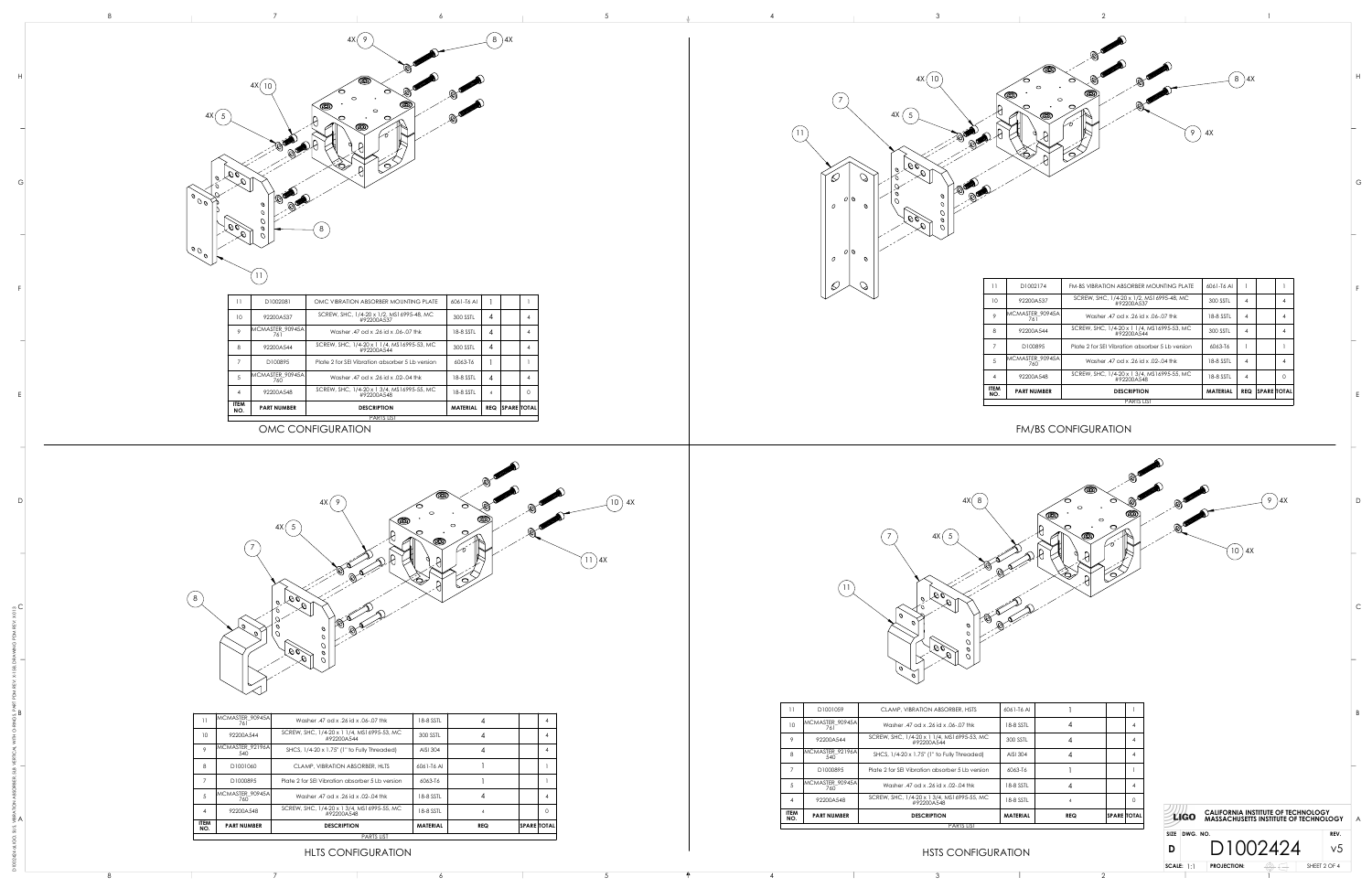





























| 11              | D1002081               | OMC VIBRATION ABSORBER MOUNTING PLATE                    | 6061-T6 Al      |                        |
|-----------------|------------------------|----------------------------------------------------------|-----------------|------------------------|
| 10              | 92200A537              | SCREW, SHC, 1/4-20 x 1/2, MS16995-48, MC<br>#92200A537   | 300 SSTL        |                        |
|                 | MCMASTER_90945A<br>761 | Washer .47 od x .26 id x .06-.07 thk                     | 18-8 SSTL       |                        |
|                 | 92200A544              | SCREW, SHC, 1/4-20 x 1 1/4, MS16995-53, MC<br>#92200A544 | 300 SSTL        |                        |
|                 | D100895                | Plate 2 for SEI Vibration absorber 5 Lb version          | 6063-T6         |                        |
| $5\overline{)}$ | MCMASTER_90945A<br>760 | Washer .47 od x .26 id x .02-.04 thk                     | 18-8 SSTL       |                        |
|                 | 92200A548              | SCREW, SHC, 1/4-20 x 1 3/4, MS16995-55, MC<br>#92200A548 | 18-8 SSTL       |                        |
| ITEM<br>NO.     | <b>PART NUMBER</b>     | <b>DESCRIPTION</b>                                       | <b>MATERIAL</b> | <b>REQ SPARE TOTAL</b> |
|                 |                        | <b>PARTS LIST</b>                                        |                 |                        |

|                    | <b>PARTS LIST</b>        |                                                          |                 |            |                    |          |  |  |  |  |
|--------------------|--------------------------|----------------------------------------------------------|-----------------|------------|--------------------|----------|--|--|--|--|
| <b>ITEM</b><br>NO. | <b>PART NUMBER</b>       | <b>DESCRIPTION</b>                                       | <b>MATERIAL</b> | <b>REQ</b> | <b>SPARE TOTAL</b> |          |  |  |  |  |
| 4                  | 92200A548                | SCREW, SHC, 1/4-20 x 1 3/4, MS16995-55, MC<br>#92200A548 | 18-8 SSTL       | 4          |                    | $\Omega$ |  |  |  |  |
| 5                  | MCMASTER_90945A <br>760. | Washer .47 od x .26 id x .02-.04 thk                     | 18-8 SSTL       | 4          |                    | 4        |  |  |  |  |
| 7                  | D <sub>100895</sub>      | Plate 2 for SEI Vibration absorber 5 Lb version          | 6063-T6         |            |                    |          |  |  |  |  |
| 8                  | 92200A544                | SCREW, SHC, 1/4-20 x 1 1/4, MS16995-53, MC<br>#92200A544 | 300 SSTL        | 4          |                    | 4        |  |  |  |  |
| 9                  | MCMASTER_90945A<br>761   | Washer .47 od x .26 id x .06-.07 thk                     | 18-8 SSTL       | 4          |                    | 4        |  |  |  |  |
| 10                 | 92200A537                | SCREW, SHC, 1/4-20 x 1/2, MS16995-48, MC<br>#92200A537   | 300 SSTL        | 4          |                    | 4        |  |  |  |  |
| 11                 | D1002174                 | <b>FM-BS VIBRATION ABSORBER MOUNTING PLATE</b>           | 6061-T6 AI      |            |                    |          |  |  |  |  |



# HLTS CONFIGURATION HASTS CONFIGURATION

| 8<br>$5\phantom{.0}$<br>$\overline{4}$<br><b>ITEM</b><br>NO. | D1001060<br>D1000895<br>MCMASTER_90945A<br>760<br>92200A548<br><b>PART NUMBER</b> | Plate 2 for SEI Vibration absorber 5 Lb version<br>Washer .47 od x .26 id x .02-.04 thk<br>SCREW, SHC, 1/4-20 x 1 3/4, MS16995-55, MC<br>#92200A548<br><b>DESCRIPTION</b><br><b>PARTS LIST</b> | 6063-T6<br>18-8 SSTL<br>18-8 SSTL<br><b>MATERIAL</b> | <b>REQ</b> | $ SPACE $ TOTAL | $\Omega$ |
|--------------------------------------------------------------|-----------------------------------------------------------------------------------|------------------------------------------------------------------------------------------------------------------------------------------------------------------------------------------------|------------------------------------------------------|------------|-----------------|----------|
|                                                              |                                                                                   |                                                                                                                                                                                                |                                                      |            |                 |          |
|                                                              |                                                                                   |                                                                                                                                                                                                |                                                      |            |                 |          |
|                                                              |                                                                                   |                                                                                                                                                                                                |                                                      |            |                 |          |
|                                                              |                                                                                   |                                                                                                                                                                                                |                                                      |            |                 |          |
|                                                              |                                                                                   | CLAMP, VIBRATION ABSORBER, HLTS                                                                                                                                                                | 6061-T6 Al                                           |            |                 |          |
| $\circ$                                                      | MCMASTER_92196A<br>540                                                            | SHCS, 1/4-20 x 1.75" (1" to Fully Threaded)                                                                                                                                                    | AISI 304                                             |            |                 |          |
| 10                                                           | 92200A544                                                                         | SCREW, SHC, 1/4-20 x 1 1/4, MS16995-53, MC<br>#92200A544                                                                                                                                       | 300 SSTL                                             |            |                 |          |
| 11                                                           | MCMASTER_90945A<br>761                                                            | Washer .47 od x .26 id x .06-.07 thk                                                                                                                                                           | 18-8 SSTL                                            |            |                 |          |

|                    |                         | <b>PARTS LIST</b>                                        |                 |            |                    |   |
|--------------------|-------------------------|----------------------------------------------------------|-----------------|------------|--------------------|---|
| <b>ITEM</b><br>NO. | <b>PART NUMBER</b>      | <b>DESCRIPTION</b>                                       | <b>MATERIAL</b> | <b>REQ</b> | <b>SPARE TOTAL</b> |   |
| 4                  | 92200A548               | SCREW, SHC, 1/4-20 x 1 3/4, MS16995-55, MC<br>#92200A548 | 18-8 SSTL       |            |                    |   |
| 5                  | MCMASTER_90945A<br>760. | Washer, 47 od x, 26 id x, 02-04 thk                      | 18-8 SSTL       | 4          |                    | 4 |
| $\overline{7}$     | D1000895                | Plate 2 for SEI Vibration absorber 5 Lb version          | 6063-T6         |            |                    |   |
| 8                  | MCMASTER_92196A<br>540  | SHCS, 1/4-20 x 1.75" (1" to Fully Threaded)              | AISI 304        | 4          |                    |   |
| 9                  | 92200A544               | SCREW, SHC, 1/4-20 x 1 1/4, MS16995-53, MC<br>#92200A544 | 300 SSTL        | 4          |                    |   |
| 10                 | MCMASTER 90945A<br>761  | Washer, 47 od x, 26 id x, 06-, 07 thk                    | 18-8 SSTL       | 4          |                    |   |
| 11                 | D1001059                | CLAMP, VIBRATION ABSORBER, HSTS                          | 6061-T6 AL      |            |                    |   |

1

C



D E

F

G

H

C

E

F

D

G

B

H



## OMC CONFIGURATION FM/BS CONFIGURATION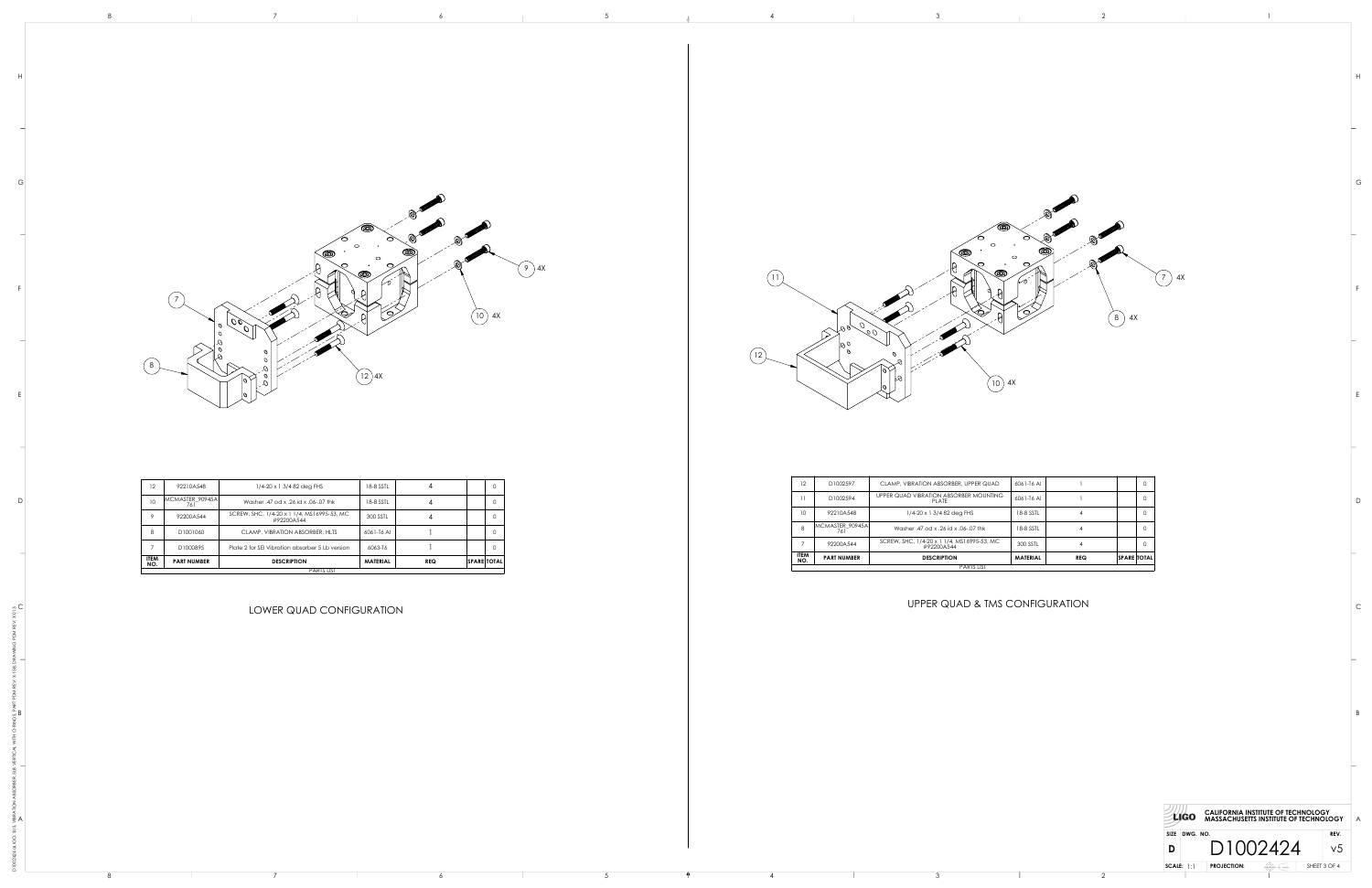9 4X

 $\begin{array}{c|ccccc}\n8 & 3 & 2 \\
\hline\n\end{array}$ 









| 12                 | 92210A548              | $1/4 - 20 \times 13/482$ deg FHS                         | 18-8 SSTL       | 4          |                     | 0        |
|--------------------|------------------------|----------------------------------------------------------|-----------------|------------|---------------------|----------|
| 10                 | MCMASTER 90945A<br>761 | Washer, 47 od x, 26 id x, 06-07 thk                      | 18-8 SSTL       | 4          |                     | 0        |
| 9                  | 92200A544              | SCREW, SHC, 1/4-20 x 1 1/4, MS16995-53, MC<br>#92200A544 | 300 SSTL        | 4          |                     | 0        |
| 8                  | D1001060               | CLAMP, VIBRATION ABSORBER, HLTS                          | 6061-T6 AI      |            |                     | 0        |
|                    | D1000895               | Plate 2 for SEI Vibration absorber 5 Lb version          | 6063-T6         |            |                     | $\Omega$ |
| <b>ITEM</b><br>NO. | <b>PART NUMBER</b>     | <b>DESCRIPTION</b>                                       | <b>MATERIAL</b> | <b>REQ</b> | $ SPACE $ TOTAL $ $ |          |
|                    |                        | <b>PARTS LIST</b>                                        |                 |            |                     |          |

| 12                 | D1002597               | CLAMP, VIBRATION ABSORBER, UPPER QUAD                    | 6061-T6 AI      |            |                    | $\Omega$ |
|--------------------|------------------------|----------------------------------------------------------|-----------------|------------|--------------------|----------|
|                    | D1002594               | UPPER QUAD VIBRATION ABSORBER MOUNTING<br>PLATE          | 6061-T6 AI      |            |                    | 0        |
| 10 <sup>°</sup>    | 92210A548              | $1/4 - 20 \times 1$ 3/4 82 deg FHS                       | 18-8 SSTL       | 4          |                    | $\Omega$ |
| 8                  | MCMASTER 90945A<br>761 | Washer, 47 od x, 26 id x, 06-, 07 thk                    | 18-8 SSTL       | 4          |                    | $\Omega$ |
|                    | 92200A544              | SCREW, SHC, 1/4-20 x 1 1/4, MS16995-53, MC<br>#92200A544 | 300 SSTL        | 4          |                    | $\Omega$ |
| <b>ITEM</b><br>NO. | <b>PART NUMBER</b>     | <b>DESCRIPTION</b>                                       | <b>MATERIAL</b> | <b>REQ</b> | <b>SPARE TOTAL</b> |          |
|                    |                        | <b>PARTS LIST</b>                                        |                 |            |                    |          |

1

**Committee Committee** 

D

E

F

G

H

C

E

F

D

G

B

H